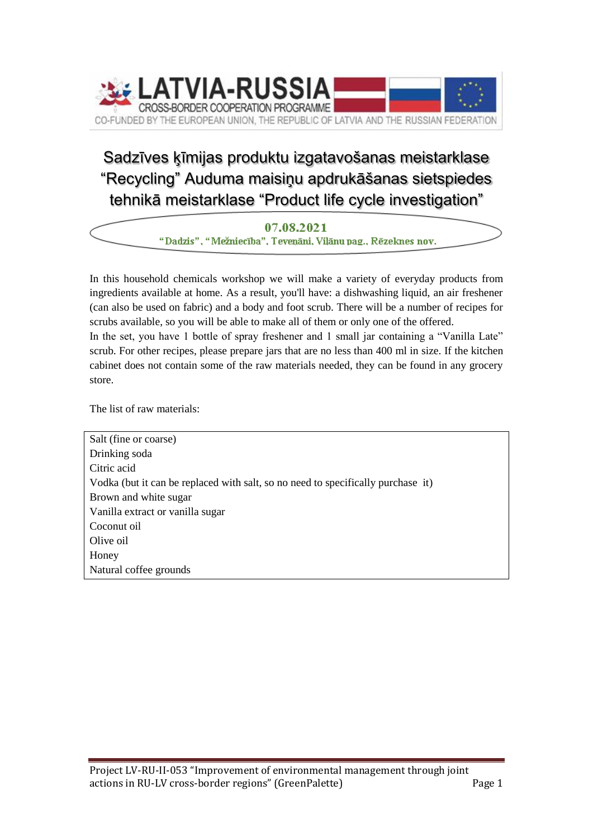

## Sadzīves ķīmijas produktu izgatavošanas meistarklase "Recycling" Auduma maisiņu apdrukāšanas sietspiedes tehnikā meistarklase "Product life cycle investigation"

07.08.2021

"Dadzis", "Mežniecība", Teveņāni, Viļānu pag., Rēzeknes nov.

In this household chemicals workshop we will make a variety of everyday products from ingredients available at home. As a result, you'll have: a dishwashing liquid, an air freshener (can also be used on fabric) and a body and foot scrub. There will be a number of recipes for scrubs available, so you will be able to make all of them or only one of the offered.

In the set, you have 1 bottle of spray freshener and 1 small jar containing a "Vanilla Late" scrub. For other recipes, please prepare jars that are no less than 400 ml in size. If the kitchen cabinet does not contain some of the raw materials needed, they can be found in any grocery store.

The list of raw materials:

Salt (fine or coarse) Drinking soda Citric acid Vodka (but it can be replaced with salt, so no need to specifically purchase it) Brown and white sugar Vanilla extract or vanilla sugar Coconut oil Olive oil Honey Natural coffee grounds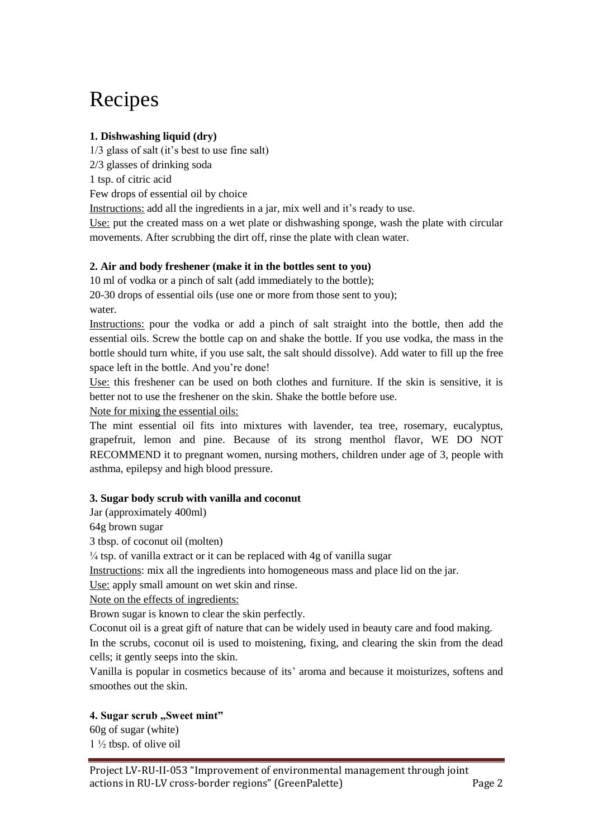# Recipes

### **1. Dishwashing liquid (dry)**

1/3 glass of salt (it's best to use fine salt)

2/3 glasses of drinking soda

1 tsp. of citric acid

Few drops of essential oil by choice

Instructions: add all the ingredients in a jar, mix well and it's ready to use.

Use: put the created mass on a wet plate or dishwashing sponge, wash the plate with circular movements. After scrubbing the dirt off, rinse the plate with clean water.

#### **2. Air and body freshener (make it in the bottles sent to you)**

10 ml of vodka or a pinch of salt (add immediately to the bottle);

20-30 drops of essential oils (use one or more from those sent to you); water.

Instructions: pour the vodka or add a pinch of salt straight into the bottle, then add the essential oils. Screw the bottle cap on and shake the bottle. If you use vodka, the mass in the bottle should turn white, if you use salt, the salt should dissolve). Add water to fill up the free space left in the bottle. And you're done!

Use: this freshener can be used on both clothes and furniture. If the skin is sensitive, it is better not to use the freshener on the skin. Shake the bottle before use.

Note for mixing the essential oils:

The mint essential oil fits into mixtures with lavender, tea tree, rosemary, eucalyptus, grapefruit, lemon and pine. Because of its strong menthol flavor, WE DO NOT RECOMMEND it to pregnant women, nursing mothers, children under age of 3, people with asthma, epilepsy and high blood pressure.

#### **3. Sugar body scrub with vanilla and coconut**

Jar (approximately 400ml)

64g brown sugar

3 tbsp. of coconut oil (molten)

 $\frac{1}{4}$  tsp. of vanilla extract or it can be replaced with 4g of vanilla sugar

Instructions: mix all the ingredients into homogeneous mass and place lid on the jar.

Use: apply small amount on wet skin and rinse.

Note on the effects of ingredients:

Brown sugar is known to clear the skin perfectly.

Coconut oil is a great gift of nature that can be widely used in beauty care and food making. In the scrubs, coconut oil is used to moistening, fixing, and clearing the skin from the dead cells; it gently seeps into the skin.

Vanilla is popular in cosmetics because of its' aroma and because it moisturizes, softens and smoothes out the skin.

#### 4. Sugar scrub "Sweet mint"

60g of sugar (white) 1 ½ tbsp. of olive oil